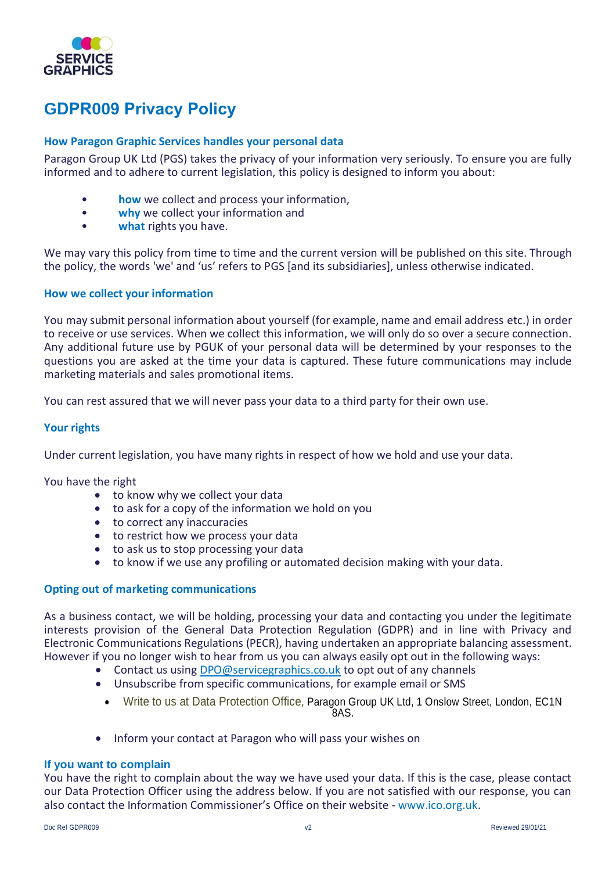

# **GDPR009 Privacy Policy**

## **How Paragon Graphic Services handles your personal data**

Paragon Group UK Ltd (PGS) takes the privacy of your information very seriously. To ensure you are fully informed and to adhere to current legislation, this policy is designed to inform you about:

- **how** we collect and process your information,
- **why** we collect your information and
- what rights you have.

We may vary this policy from time to time and the current version will be published on this site. Through the policy, the words 'we' and 'us' refers to PGS [and its subsidiaries], unless otherwise indicated.

## **How we collect your information**

You may submit personal information about yourself (for example, name and email address etc.) in order to receive or use services. When we collect this information, we will only do so over a secure connection. Any additional future use by PGUK of your personal data will be determined by your responses to the questions you are asked at the time your data is captured. These future communications may include marketing materials and sales promotional items.

You can rest assured that we will never pass your data to a third party for their own use.

## **Your rights**

Under current legislation, you have many rights in respect of how we hold and use your data.

You have the right

- to know why we collect your data
- to ask for a copy of the information we hold on you
- to correct any inaccuracies
- to restrict how we process your data
- to ask us to stop processing your data
- to know if we use any profiling or automated decision making with your data.

## **Opting out of marketing communications**

As a business contact, we will be holding, processing your data and contacting you under the legitimate interests provision of the General Data Protection Regulation (GDPR) and in line with Privacy and Electronic Communications Regulations (PECR), having undertaken an appropriate balancing assessment. However if you no longer wish to hear from us you can always easily opt out in the following ways:

- Contact us using [DPO@servicegraphics.co.uk](mailto:DPO@servicegraphics.co.uk) to opt out of any channels
- Unsubscribe from specific communications, for example email or SMS
	- Write to us at Data Protection Office, Paragon Group UK Ltd, 1 Onslow Street, London, EC1N  $248$
- Inform your contact at Paragon who will pass your wishes on

## **If you want to complain**

You have the right to complain about the way we have used your data. If this is the case, please contact our Data Protection Officer using the address below. If you are not satisfied with our response, you can also contact the Information Commissioner's Office on their website - www.ico.org.uk.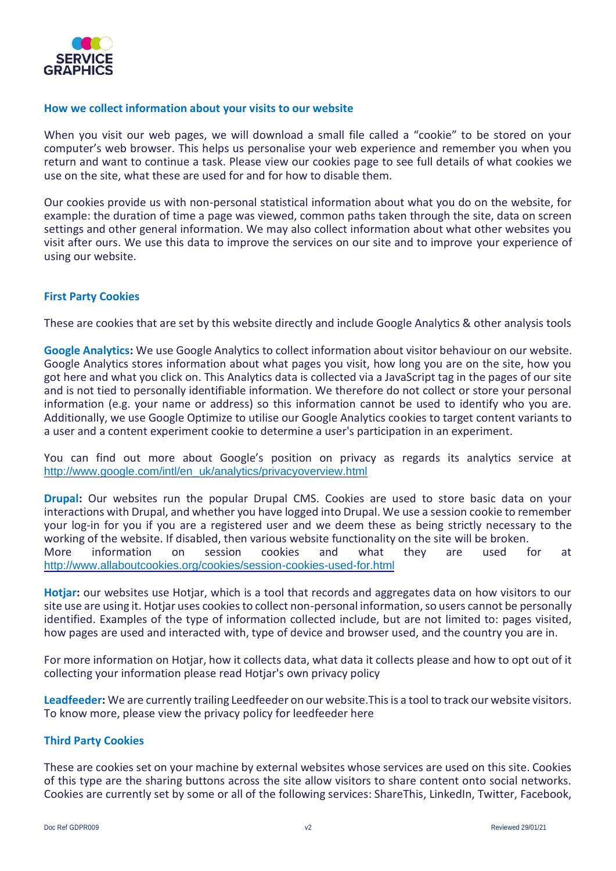

## **How we collect information about your visits to our website**

When you visit our web pages, we will download a small file called a "cookie" to be stored on your computer's web browser. This helps us personalise your web experience and remember you when you return and want to continue a task. Please view our cookies page to see full details of what cookies we use on the site, what these are used for and for how to disable them.

Our cookies provide us with non-personal statistical information about what you do on the website, for example: the duration of time a page was viewed, common paths taken through the site, data on screen settings and other general information. We may also collect information about what other websites you visit after ours. We use this data to improve the services on our site and to improve your experience of using our website.

## **First Party Cookies**

These are cookies that are set by this website directly and include Google Analytics & other analysis tools

**Google Analytics:** We use Google Analytics to collect information about visitor behaviour on our website. Google Analytics stores information about what pages you visit, how long you are on the site, how you got here and what you click on. This Analytics data is collected via a JavaScript tag in the pages of our site and is not tied to personally identifiable information. We therefore do not collect or store your personal information (e.g. your name or address) so this information cannot be used to identify who you are. Additionally, we use Google Optimize to utilise our Google Analytics cookies to target content variants to a user and a content experiment cookie to determine a user's participation in an experiment.

You can find out more about Google's position on privacy as regards its analytics service at http://www.google.com/intl/en\_uk/analytics/privacyoverview.html

**Drupal:** Our websites run the popular Drupal CMS. Cookies are used to store basic data on your interactions with Drupal, and whether you have logged into Drupal. We use a session cookie to remember your log-in for you if you are a registered user and we deem these as being strictly necessary to the working of the website. If disabled, then various website functionality on the site will be broken. More information on session cookies and what they are used for at http://www.allaboutcookies.org/cookies/session-cookies-used-for.html

**Hotjar:** our websites use Hotjar, which is a tool that records and aggregates data on how visitors to our site use are using it. Hotjar uses cookies to collect non-personal information, so users cannot be personally identified. Examples of the type of information collected include, but are not limited to: pages visited, how pages are used and interacted with, type of device and browser used, and the country you are in.

For more information on Hotjar, how it collects data, what data it collects please and how to opt out of it collecting your information please read Hotjar's own privacy policy

**Leadfeeder:** We are currently trailing Leedfeeder on our website.This is a tool to track our website visitors. To know more, please view the privacy policy for leedfeeder here

## **Third Party Cookies**

These are cookies set on your machine by external websites whose services are used on this site. Cookies of this type are the sharing buttons across the site allow visitors to share content onto social networks. Cookies are currently set by some or all of the following services: ShareThis, LinkedIn, Twitter, Facebook,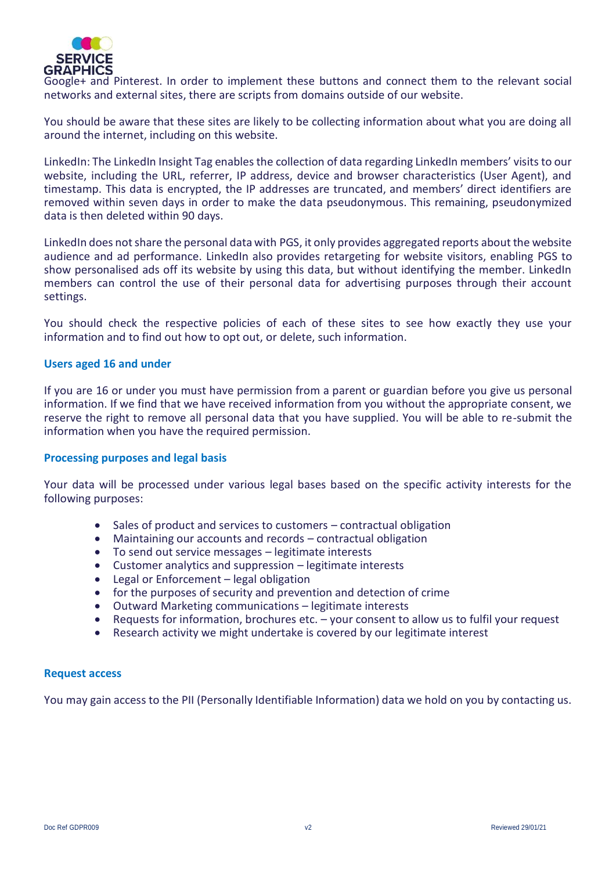

Google+ and Pinterest. In order to implement these buttons and connect them to the relevant social networks and external sites, there are scripts from domains outside of our website.

You should be aware that these sites are likely to be collecting information about what you are doing all around the internet, including on this website.

LinkedIn: The LinkedIn Insight Tag enables the collection of data regarding LinkedIn members' visits to our website, including the URL, referrer, IP address, device and browser characteristics (User Agent), and timestamp. This data is encrypted, the IP addresses are truncated, and members' direct identifiers are removed within seven days in order to make the data pseudonymous. This remaining, pseudonymized data is then deleted within 90 days.

LinkedIn does not share the personal data with PGS, it only provides aggregated reports about the website audience and ad performance. LinkedIn also provides retargeting for website visitors, enabling PGS to show personalised ads off its website by using this data, but without identifying the member. LinkedIn members can control the use of their personal data for advertising purposes through their account settings.

You should check the respective policies of each of these sites to see how exactly they use your information and to find out how to opt out, or delete, such information.

## **Users aged 16 and under**

If you are 16 or under you must have permission from a parent or guardian before you give us personal information. If we find that we have received information from you without the appropriate consent, we reserve the right to remove all personal data that you have supplied. You will be able to re-submit the information when you have the required permission.

## **Processing purposes and legal basis**

Your data will be processed under various legal bases based on the specific activity interests for the following purposes:

- Sales of product and services to customers contractual obligation
- Maintaining our accounts and records contractual obligation
- To send out service messages legitimate interests
- Customer analytics and suppression legitimate interests
- Legal or Enforcement legal obligation
- for the purposes of security and prevention and detection of crime
- Outward Marketing communications legitimate interests
- Requests for information, brochures etc. your consent to allow us to fulfil your request
- Research activity we might undertake is covered by our legitimate interest

## **Request access**

You may gain access to the PII (Personally Identifiable Information) data we hold on you by contacting us.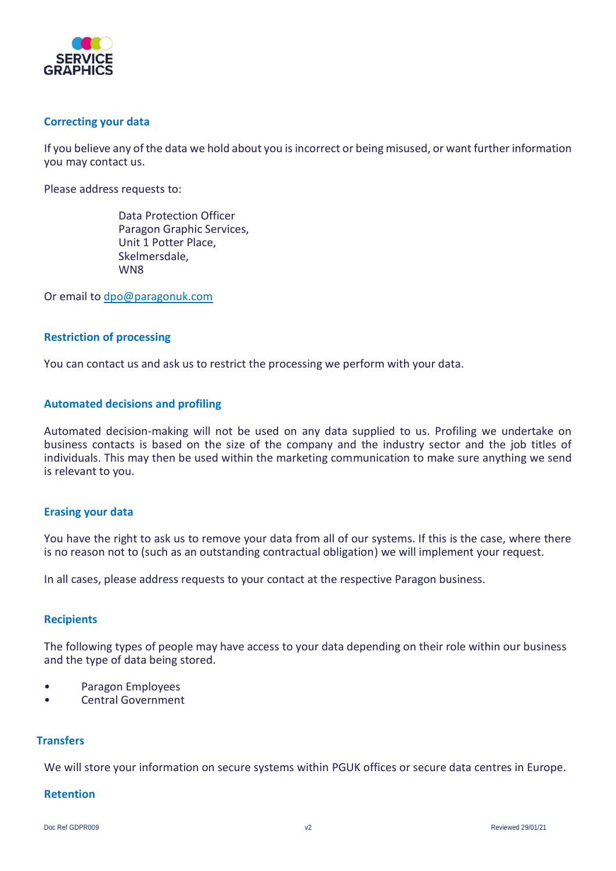

## **Correcting your data**

If you believe any of the data we hold about you is incorrect or being misused, or want further information you may contact us.

Please address requests to:

Data Protection Officer Paragon Graphic Services, Unit 1 Potter Place, Skelmersdale, WN8

Or email to [dpo@paragonuk.com](mailto:dpo@paragonuk.com)

## **Restriction of processing**

You can contact us and ask us to restrict the processing we perform with your data.

## **Automated decisions and profiling**

Automated decision-making will not be used on any data supplied to us. Profiling we undertake on business contacts is based on the size of the company and the industry sector and the job titles of individuals. This may then be used within the marketing communication to make sure anything we send is relevant to you.

## **Erasing your data**

You have the right to ask us to remove your data from all of our systems. If this is the case, where there is no reason not to (such as an outstanding contractual obligation) we will implement your request.

In all cases, please address requests to your contact at the respective Paragon business.

## **Recipients**

The following types of people may have access to your data depending on their role within our business and the type of data being stored.

- Paragon Employees
- Central Government

## **Transfers**

We will store your information on secure systems within PGUK offices or secure data centres in Europe.

## **Retention**